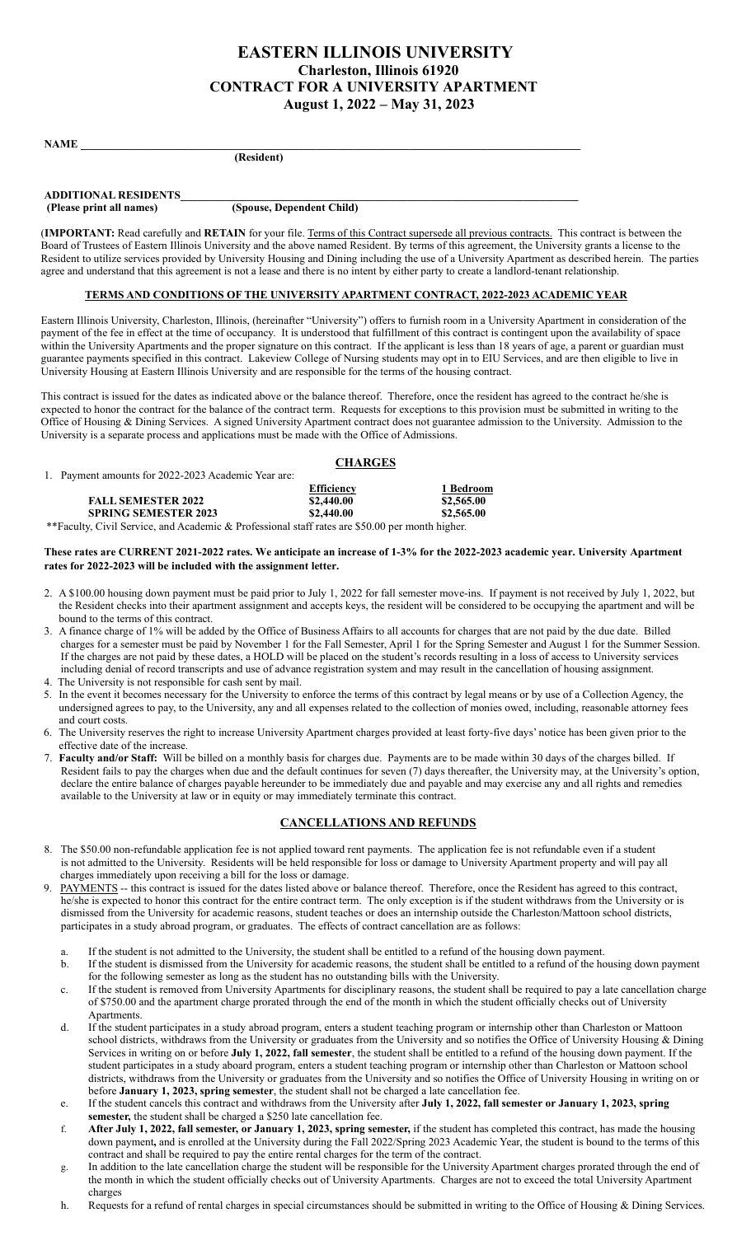# **EASTERN ILLINOIS UNIVERSITY Charleston, Illinois 61920 CONTRACT FOR A UNIVERSITY APARTMENT August 1, 2022 – May 31, 2023**

| NAME                     |                           |  |
|--------------------------|---------------------------|--|
|                          | (Resident)                |  |
|                          |                           |  |
| ADDITIONAL RESIDENTS     |                           |  |
| (Please print all names) | (Spouse, Dependent Child) |  |

(**IMPORTANT:** Read carefully and **RETAIN** for your file. Terms of this Contract supersede all previous contracts. This contract is between the Board of Trustees of Eastern Illinois University and the above named Resident. By terms of this agreement, the University grants a license to the Resident to utilize services provided by University Housing and Dining including the use of a University Apartment as described herein. The parties agree and understand that this agreement is not a lease and there is no intent by either party to create a landlord-tenant relationship.

#### **TERMS AND CONDITIONS OF THE UNIVERSITY APARTMENT CONTRACT, 2022-2023 ACADEMIC YEAR**

Eastern Illinois University, Charleston, Illinois, (hereinafter "University") offers to furnish room in a University Apartment in consideration of the payment of the fee in effect at the time of occupancy. It is understood that fulfillment of this contract is contingent upon the availability of space within the University Apartments and the proper signature on this contract. If the applicant is less than 18 years of age, a parent or guardian must guarantee payments specified in this contract. Lakeview College of Nursing students may opt in to EIU Services, and are then eligible to live in University Housing at Eastern Illinois University and are responsible for the terms of the housing contract.

This contract is issued for the dates as indicated above or the balance thereof. Therefore, once the resident has agreed to the contract he/she is expected to honor the contract for the balance of the contract term. Requests for exceptions to this provision must be submitted in writing to the Office of Housing & Dining Services. A signed University Apartment contract does not guarantee admission to the University. Admission to the University is a separate process and applications must be made with the Office of Admissions.

1. Payment amounts for 2022-2023 Academic Year are:

## **CHARGES**

**Efficiency 1 Bedroom**

|                           | <b>Efficiency</b> | 1 Bedroo   |
|---------------------------|-------------------|------------|
| <b>FALL SEMESTER 2022</b> | \$2,440.00        | \$2,565.00 |
| SPRING SEMESTER 2023      | \$2.440.00        | \$2,565.00 |

**\$2,440.00 \$2,565.00** \*\*Faculty, Civil Service, and Academic & Professional staff rates are \$50.00 per month higher.

#### **These rates are CURRENT 2021-2022 rates. We anticipate an increase of 1-3% for the 2022-2023 academic year. University Apartment rates for 2022-2023 will be included with the assignment letter.**

- 2. A \$100.00 housing down payment must be paid prior to July 1, 2022 for fall semester move-ins. If payment is not received by July 1, 2022, but the Resident checks into their apartment assignment and accepts keys, the resident will be considered to be occupying the apartment and will be bound to the terms of this contract.
- 3. A finance charge of 1% will be added by the Office of Business Affairs to all accounts for charges that are not paid by the due date. Billed charges for a semester must be paid by November 1 for the Fall Semester, April 1 for the Spring Semester and August 1 for the Summer Session. If the charges are not paid by these dates, a HOLD will be placed on the student's records resulting in a loss of access to University services including denial of record transcripts and use of advance registration system and may result in the cancellation of housing assignment.
- 4. The University is not responsible for cash sent by mail.
- 5. In the event it becomes necessary for the University to enforce the terms of this contract by legal means or by use of a Collection Agency, the undersigned agrees to pay, to the University, any and all expenses related to the collection of monies owed, including, reasonable attorney fees and court costs.
- 6. The University reserves the right to increase University Apartment charges provided at least forty-five days' notice has been given prior to the effective date of the increase.
- 7. **Faculty and/or Staff:** Will be billed on a monthly basis for charges due. Payments are to be made within 30 days of the charges billed. If Resident fails to pay the charges when due and the default continues for seven (7) days thereafter, the University may, at the University's option, declare the entire balance of charges payable hereunder to be immediately due and payable and may exercise any and all rights and remedies available to the University at law or in equity or may immediately terminate this contract.

## **CANCELLATIONS AND REFUNDS**

- 8. The \$50.00 non-refundable application fee is not applied toward rent payments. The application fee is not refundable even if a student is not admitted to the University. Residents will be held responsible for loss or damage to University Apartment property and will pay all charges immediately upon receiving a bill for the loss or damage.
- PAYMENTS -- this contract is issued for the dates listed above or balance thereof. Therefore, once the Resident has agreed to this contract, he/she is expected to honor this contract for the entire contract term. The only exception is if the student withdraws from the University or is dismissed from the University for academic reasons, student teaches or does an internship outside the Charleston/Mattoon school districts, participates in a study abroad program, or graduates. The effects of contract cancellation are as follows:
	- a. If the student is not admitted to the University, the student shall be entitled to a refund of the housing down payment.
	- If the student is dismissed from the University for academic reasons, the student shall be entitled to a refund of the housing down payment for the following semester as long as the student has no outstanding bills with the University.
	- c. If the student is removed from University Apartments for disciplinary reasons, the student shall be required to pay a late cancellation charge of \$750.00 and the apartment charge prorated through the end of the month in which the student officially checks out of University Apartments.
	- d. If the student participates in a study abroad program, enters a student teaching program or internship other than Charleston or Mattoon school districts, withdraws from the University or graduates from the University and so notifies the Office of University Housing & Dining Services in writing on or before **July 1, 2022, fall semester**, the student shall be entitled to a refund of the housing down payment. If the student participates in a study aboard program, enters a student teaching program or internship other than Charleston or Mattoon school districts, withdraws from the University or graduates from the University and so notifies the Office of University Housing in writing on or before **January 1, 2023, spring semester**, the student shall not be charged a late cancellation fee.
	- e. If the student cancels this contract and withdraws from the University after **July 1, 2022, fall semester or January 1, 2023, spring semester,** the student shall be charged a \$250 late cancellation fee.
	- f. **After July 1, 2022, fall semester, or January 1, 2023, spring semester,** if the student has completed this contract, has made the housing down payment**,** and is enrolled at the University during the Fall 2022/Spring 2023 Academic Year, the student is bound to the terms of this contract and shall be required to pay the entire rental charges for the term of the contract.
	- g. In addition to the late cancellation charge the student will be responsible for the University Apartment charges prorated through the end of the month in which the student officially checks out of University Apartments. Charges are not to exceed the total University Apartment charges
	- h. Requests for a refund of rental charges in special circumstances should be submitted in writing to the Office of Housing & Dining Services.